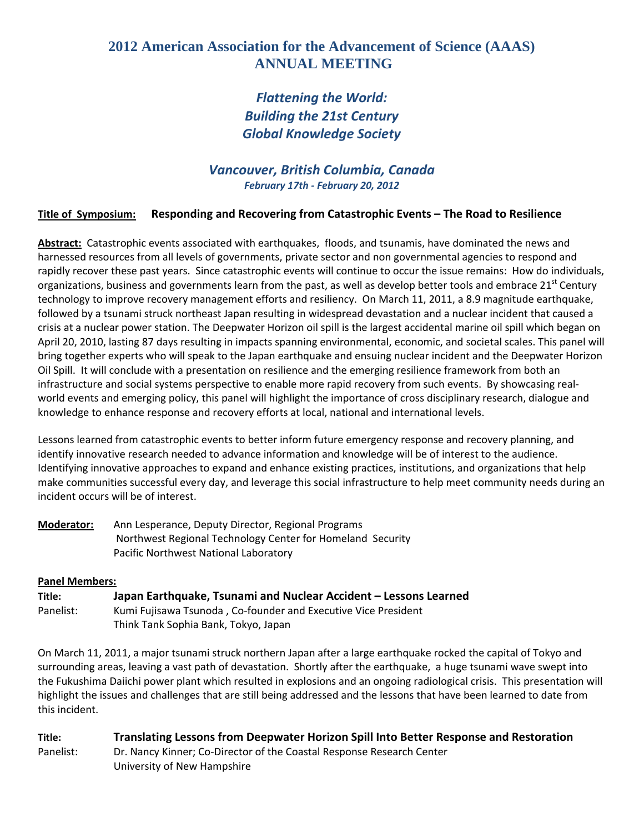## **2012 American Association for the Advancement of Science (AAAS) ANNUAL MEETING**

# *Flattening the World: Building the 21st Century Global Knowledge Society*

### *Vancouver, British Columbia, Canada February 17th ‐ February 20, 2012*

### **Title of Symposium: Responding and Recovering from Catastrophic Events – The Road to Resilience**

**Abstract:** Catastrophic events associated with earthquakes, floods, and tsunamis, have dominated the news and harnessed resources from all levels of governments, private sector and non governmental agencies to respond and rapidly recover these past years. Since catastrophic events will continue to occur the issue remains: How do individuals, organizations, business and governments learn from the past, as well as develop better tools and embrace  $21^{st}$  Century technology to improve recovery management efforts and resiliency. On March 11, 2011, a 8.9 magnitude earthquake, followed by a tsunami struck northeast Japan resulting in widespread devastation and a nuclear incident that caused a crisis at a nuclear power station. The Deepwater Horizon oil spill is the largest accidental marine oil spill which began on April 20, 2010, lasting 87 days resulting in impacts spanning environmental, economic, and societal scales. This panel will bring together experts who will speak to the Japan earthquake and ensuing nuclear incident and the Deepwater Horizon Oil Spill. It will conclude with a presentation on resilience and the emerging resilience framework from both an infrastructure and social systems perspective to enable more rapid recovery from such events. By showcasing realworld events and emerging policy, this panel will highlight the importance of cross disciplinary research, dialogue and knowledge to enhance response and recovery efforts at local, national and international levels.

Lessons learned from catastrophic events to better inform future emergency response and recovery planning, and identify innovative research needed to advance information and knowledge will be of interest to the audience. Identifying innovative approaches to expand and enhance existing practices, institutions, and organizations that help make communities successful every day, and leverage this social infrastructure to help meet community needs during an incident occurs will be of interest.

| Moderator: | Ann Lesperance, Deputy Director, Regional Programs         |
|------------|------------------------------------------------------------|
|            | Northwest Regional Technology Center for Homeland Security |
|            | Pacific Northwest National Laboratory                      |

#### **Panel Members:**

| Title:    | Japan Earthquake, Tsunami and Nuclear Accident - Lessons Learned |
|-----------|------------------------------------------------------------------|
| Panelist: | Kumi Fujisawa Tsunoda, Co-founder and Executive Vice President   |
|           | Think Tank Sophia Bank, Tokyo, Japan                             |

On March 11, 2011, a major tsunami struck northern Japan after a large earthquake rocked the capital of Tokyo and surrounding areas, leaving a vast path of devastation. Shortly after the earthquake, a huge tsunami wave swept into the Fukushima Daiichi power plant which resulted in explosions and an ongoing radiological crisis. This presentation will highlight the issues and challenges that are still being addressed and the lessons that have been learned to date from this incident.

**Title: Translating Lessons from Deepwater Horizon Spill Into Better Response and Restoration**  Panelist: Dr. Nancy Kinner; Co-Director of the Coastal Response Research Center University of New Hampshire